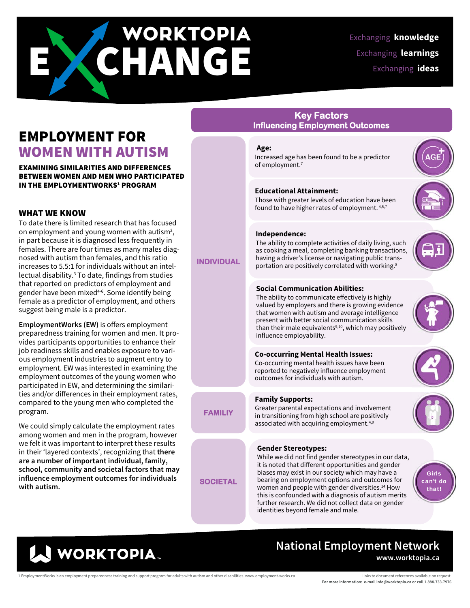# WORKTOPIA

Exchanging **knowledge** Exchanging **learnings** Exchanging **ideas** 

# **Key Factors Influencing Employment Outcomes**

#### **Age:**

Increased age has been found to be a predictor of employment.7

## **Educational Attainment:**

Those with greater levels of education have been found to have higher rates of employment. 4,5,7

identities beyond female and male.

# **National Employment Network www.worktopia.ca**

1 EmploymentWorks is an employment preparedness training and support program for adults with autism and other disabilities. www.employment-works.ca

**WORKTOPIA.** 

Links to document references available on request. **For more information: e-mail info@worktopia.ca or call 1.888.733.7976** 

EMPLOYMENT FOR WOMEN WITH AUTISM

#### EXAMINING SIMILARITIES AND DIFFERENCES BETWEEN WOMEN AND MEN WHO PARTICIPATED IN THE EMPLOYMENTWORKS<sup>1</sup> PROGRAM